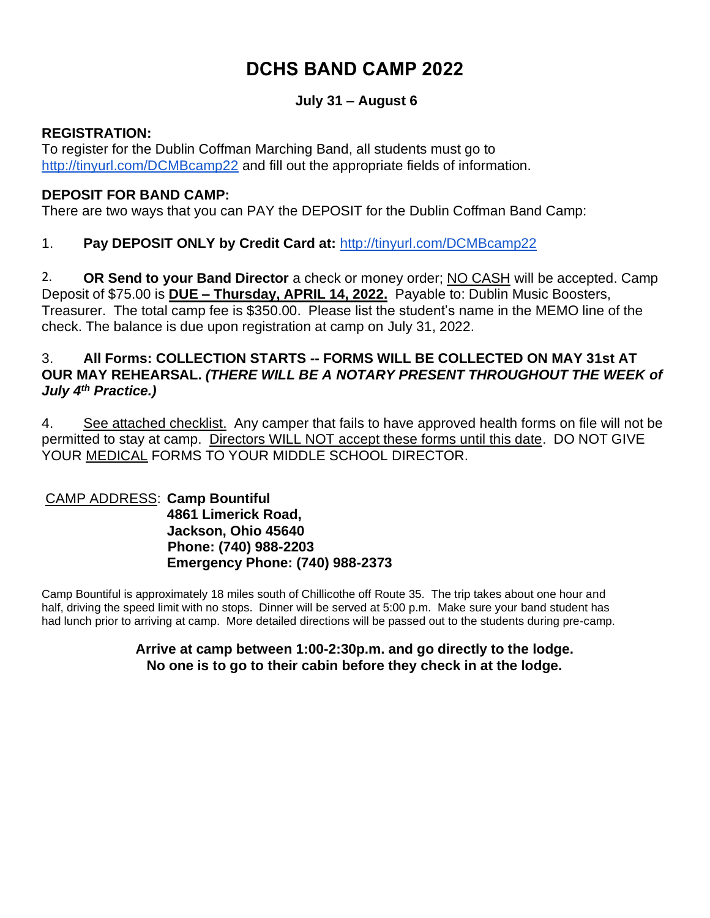# **DCHS BAND CAMP 2022**

# **July 31 – August 6**

### **REGISTRATION:**

To register for the Dublin Coffman Marching Band, all students must go to <http://tinyurl.com/DCMBcamp22> and fill out the appropriate fields of information.

## **DEPOSIT FOR BAND CAMP:**

There are two ways that you can PAY the DEPOSIT for the Dublin Coffman Band Camp:

# 1. **Pay DEPOSIT ONLY by Credit Card at:** <http://tinyurl.com/DCMBcamp22>

2. **OR Send to your Band Director** a check or money order; NO CASH will be accepted. Camp Deposit of \$75.00 is **DUE – Thursday, APRIL 14, 2022.** Payable to: Dublin Music Boosters, Treasurer. The total camp fee is \$350.00. Please list the student's name in the MEMO line of the check. The balance is due upon registration at camp on July 31, 2022.

#### 3. **All Forms: COLLECTION STARTS -- FORMS WILL BE COLLECTED ON MAY 31st AT OUR MAY REHEARSAL.** *(THERE WILL BE A NOTARY PRESENT THROUGHOUT THE WEEK of July 4th Practice.)*

4. See attached checklist. Any camper that fails to have approved health forms on file will not be permitted to stay at camp. Directors WILL NOT accept these forms until this date. DO NOT GIVE YOUR MEDICAL FORMS TO YOUR MIDDLE SCHOOL DIRECTOR.

#### CAMP ADDRESS: **Camp Bountiful 4861 Limerick Road, Jackson, Ohio 45640 Phone: (740) 988-2203 Emergency Phone: (740) 988-2373**

Camp Bountiful is approximately 18 miles south of Chillicothe off Route 35. The trip takes about one hour and half, driving the speed limit with no stops. Dinner will be served at 5:00 p.m. Make sure your band student has had lunch prior to arriving at camp. More detailed directions will be passed out to the students during pre-camp.

#### **Arrive at camp between 1:00-2:30p.m. and go directly to the lodge. No one is to go to their cabin before they check in at the lodge.**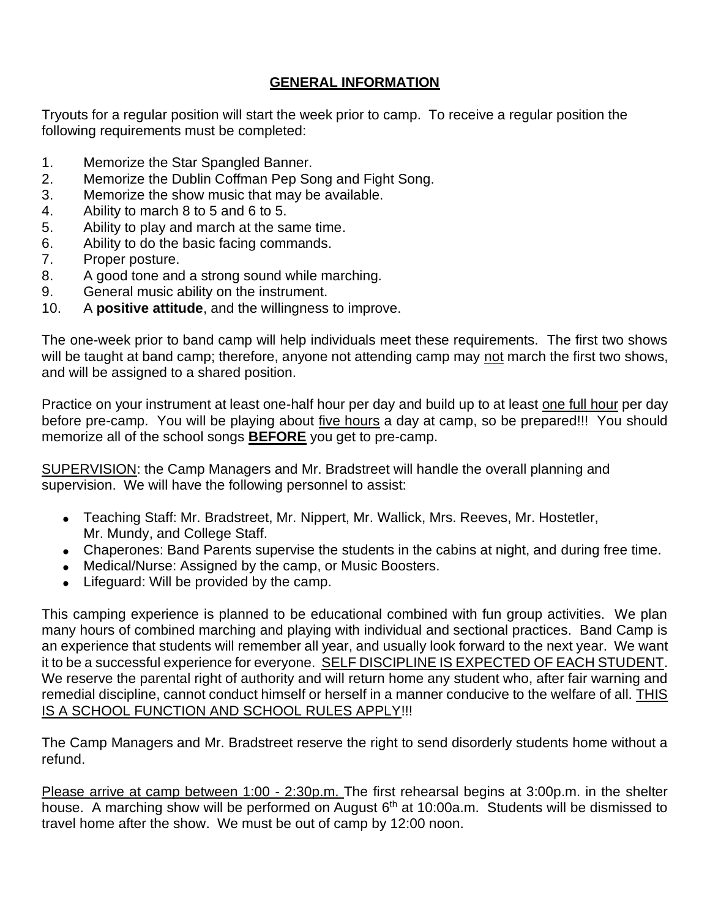# **GENERAL INFORMATION**

Tryouts for a regular position will start the week prior to camp. To receive a regular position the following requirements must be completed:

- 1. Memorize the Star Spangled Banner.
- 2. Memorize the Dublin Coffman Pep Song and Fight Song.
- 3. Memorize the show music that may be available.
- 4. Ability to march 8 to 5 and 6 to 5.
- 5. Ability to play and march at the same time.
- 6. Ability to do the basic facing commands.
- 7. Proper posture.
- 8. A good tone and a strong sound while marching.
- 9. General music ability on the instrument.
- 10. A **positive attitude**, and the willingness to improve.

The one-week prior to band camp will help individuals meet these requirements. The first two shows will be taught at band camp; therefore, anyone not attending camp may not march the first two shows, and will be assigned to a shared position.

Practice on your instrument at least one-half hour per day and build up to at least one full hour per day before pre-camp. You will be playing about five hours a day at camp, so be prepared!!! You should memorize all of the school songs **BEFORE** you get to pre-camp.

SUPERVISION: the Camp Managers and Mr. Bradstreet will handle the overall planning and supervision. We will have the following personnel to assist:

- Teaching Staff: Mr. Bradstreet, Mr. Nippert, Mr. Wallick, Mrs. Reeves, Mr. Hostetler, Mr. Mundy, and College Staff.
- Chaperones: Band Parents supervise the students in the cabins at night, and during free time.
- Medical/Nurse: Assigned by the camp, or Music Boosters.
- Lifeguard: Will be provided by the camp.

This camping experience is planned to be educational combined with fun group activities. We plan many hours of combined marching and playing with individual and sectional practices. Band Camp is an experience that students will remember all year, and usually look forward to the next year. We want it to be a successful experience for everyone. SELF DISCIPLINE IS EXPECTED OF EACH STUDENT. We reserve the parental right of authority and will return home any student who, after fair warning and remedial discipline, cannot conduct himself or herself in a manner conducive to the welfare of all. THIS IS A SCHOOL FUNCTION AND SCHOOL RULES APPLY!!!

The Camp Managers and Mr. Bradstreet reserve the right to send disorderly students home without a refund.

Please arrive at camp between 1:00 - 2:30p.m. The first rehearsal begins at 3:00p.m. in the shelter house. A marching show will be performed on August  $6<sup>th</sup>$  at 10:00a.m. Students will be dismissed to travel home after the show. We must be out of camp by 12:00 noon.